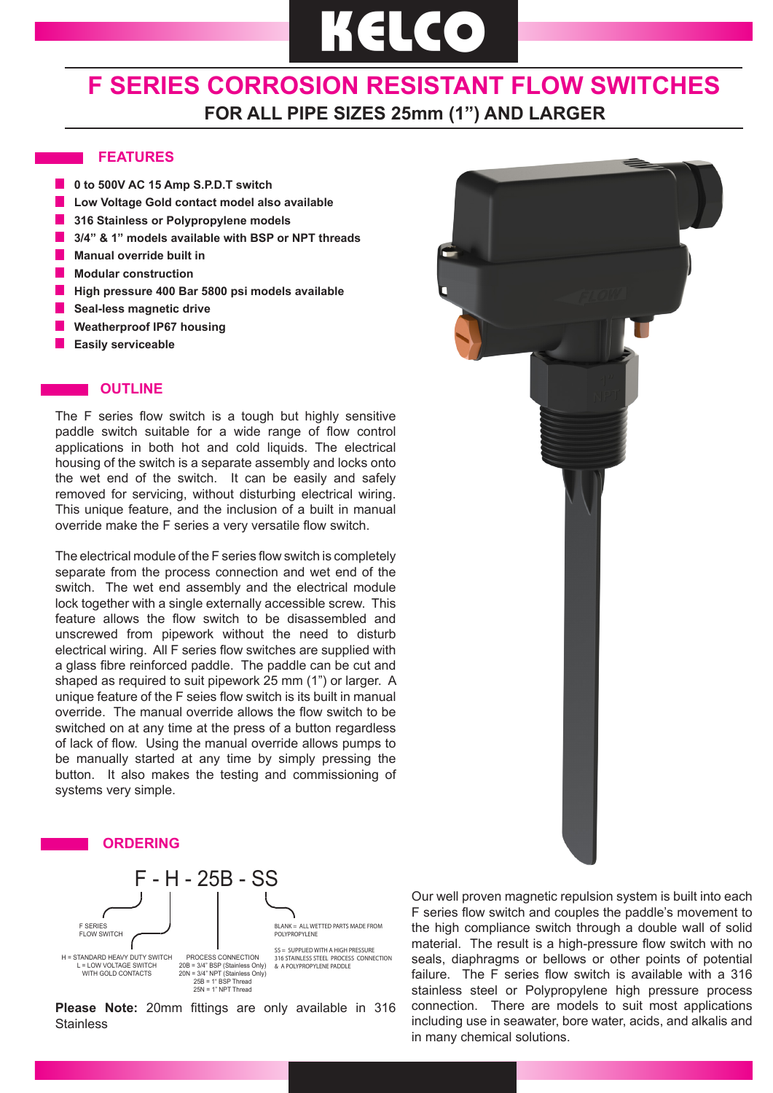# **KELCO**

### **F SERIES CORROSION RESISTANT FLOW SWITCHES FOR ALL PIPE SIZES 25mm (1") AND LARGER**

#### **FEATURES**

- **10 to 500V AC 15 Amp S.P.D.T switch**
- **Low Voltage Gold contact model also available**
- **316 Stainless or Polypropylene models**
- **3/4" & 1" models available with BSP or NPT threads**
- **Manual override built in**
- **Modular construction**
- **High pressure 400 Bar 5800 psi models available**
- **Seal-less magnetic drive**
- **Weatherproof IP67 housing**
- **Easily serviceable**

#### **OUTLINE**

The F series flow switch is a tough but highly sensitive paddle switch suitable for a wide range of flow control applications in both hot and cold liquids. The electrical housing of the switch is a separate assembly and locks onto the wet end of the switch. It can be easily and safely removed for servicing, without disturbing electrical wiring. This unique feature, and the inclusion of a built in manual override make the F series a very versatile flow switch.

The electrical module of the F series flow switch is completely separate from the process connection and wet end of the switch. The wet end assembly and the electrical module lock together with a single externally accessible screw. This feature allows the flow switch to be disassembled and unscrewed from pipework without the need to disturb electrical wiring. All F series flow switches are supplied with a glass fibre reinforced paddle. The paddle can be cut and shaped as required to suit pipework 25 mm (1") or larger. A unique feature of the F seies flow switch is its built in manual override. The manual override allows the flow switch to be switched on at any time at the press of a button regardless of lack of flow. Using the manual override allows pumps to be manually started at any time by simply pressing the button. It also makes the testing and commissioning of systems very simple.





**Please Note:** 20mm fittings are only available in 316 **Stainless** 

Our well proven magnetic repulsion system is built into each F series flow switch and couples the paddle's movement to the high compliance switch through a double wall of solid material. The result is a high-pressure flow switch with no seals, diaphragms or bellows or other points of potential failure. The F series flow switch is available with a 316 stainless steel or Polypropylene high pressure process connection. There are models to suit most applications including use in seawater, bore water, acids, and alkalis and in many chemical solutions.